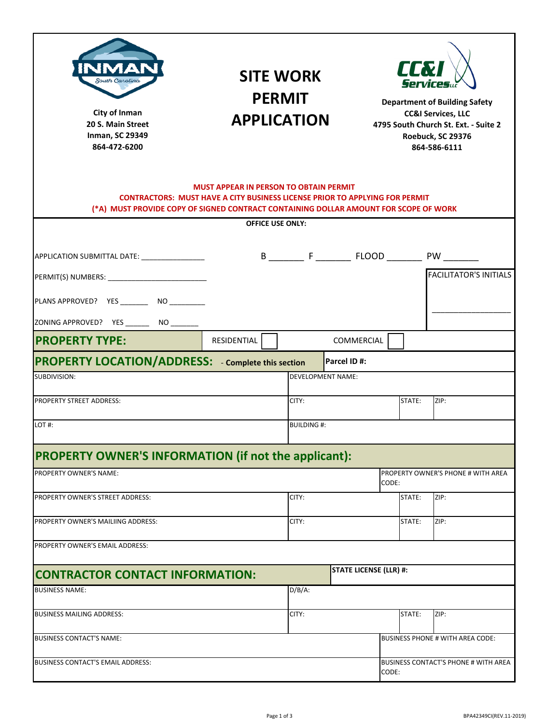| South Carolina<br>City of Inman<br>20 S. Main Street<br>Inman, SC 29349<br>864-472-6200                                                                                                                                     | <b>SITE WORK</b><br><b>PERMIT</b><br><b>APPLICATION</b> |                          |  |                               | <b>TERI</b><br><b>Services</b> u<br><b>Department of Building Safety</b><br><b>CC&amp;I Services, LLC</b><br>4795 South Church St. Ext. - Suite 2<br>Roebuck, SC 29376<br>864-586-6111 |        |                                             |  |
|-----------------------------------------------------------------------------------------------------------------------------------------------------------------------------------------------------------------------------|---------------------------------------------------------|--------------------------|--|-------------------------------|----------------------------------------------------------------------------------------------------------------------------------------------------------------------------------------|--------|---------------------------------------------|--|
| <b>MUST APPEAR IN PERSON TO OBTAIN PERMIT</b><br><b>CONTRACTORS: MUST HAVE A CITY BUSINESS LICENSE PRIOR TO APPLYING FOR PERMIT</b><br>(*A) MUST PROVIDE COPY OF SIGNED CONTRACT CONTAINING DOLLAR AMOUNT FOR SCOPE OF WORK |                                                         |                          |  |                               |                                                                                                                                                                                        |        |                                             |  |
|                                                                                                                                                                                                                             |                                                         | <b>OFFICE USE ONLY:</b>  |  |                               |                                                                                                                                                                                        |        |                                             |  |
| APPLICATION SUBMITTAL DATE: ________________                                                                                                                                                                                |                                                         |                          |  |                               |                                                                                                                                                                                        |        |                                             |  |
|                                                                                                                                                                                                                             |                                                         |                          |  |                               |                                                                                                                                                                                        |        | <b>FACILITATOR'S INITIALS</b>               |  |
| PLANS APPROVED? YES __________ NO __________                                                                                                                                                                                |                                                         |                          |  |                               |                                                                                                                                                                                        |        |                                             |  |
| ZONING APPROVED? YES _________ NO ________                                                                                                                                                                                  |                                                         |                          |  |                               |                                                                                                                                                                                        |        |                                             |  |
| <b>PROPERTY TYPE:</b>                                                                                                                                                                                                       | <b>RESIDENTIAL</b>                                      |                          |  | COMMERCIAL                    |                                                                                                                                                                                        |        |                                             |  |
| <b>PROPERTY LOCATION/ADDRESS:</b> - Complete this section                                                                                                                                                                   |                                                         |                          |  | Parcel ID#:                   |                                                                                                                                                                                        |        |                                             |  |
| SUBDIVISION:                                                                                                                                                                                                                |                                                         | <b>DEVELOPMENT NAME:</b> |  |                               |                                                                                                                                                                                        |        |                                             |  |
| <b>PROPERTY STREET ADDRESS:</b>                                                                                                                                                                                             |                                                         | CITY:                    |  |                               |                                                                                                                                                                                        | STATE: | ZIP:                                        |  |
| LOT#:                                                                                                                                                                                                                       |                                                         | <b>BUILDING#:</b>        |  |                               |                                                                                                                                                                                        |        |                                             |  |
| <b>PROPERTY OWNER'S INFORMATION (if not the applicant):</b>                                                                                                                                                                 |                                                         |                          |  |                               |                                                                                                                                                                                        |        |                                             |  |
| PROPERTY OWNER'S NAME:                                                                                                                                                                                                      |                                                         |                          |  |                               | CODE:                                                                                                                                                                                  |        | PROPERTY OWNER'S PHONE # WITH AREA          |  |
| PROPERTY OWNER'S STREET ADDRESS:                                                                                                                                                                                            |                                                         | CITY:                    |  |                               |                                                                                                                                                                                        | STATE: | ZIP:                                        |  |
| PROPERTY OWNER'S MAILIING ADDRESS:                                                                                                                                                                                          |                                                         | CITY:                    |  |                               |                                                                                                                                                                                        | STATE: | ZIP:                                        |  |
| PROPERTY OWNER'S EMAIL ADDRESS:                                                                                                                                                                                             |                                                         |                          |  |                               |                                                                                                                                                                                        |        |                                             |  |
| <b>CONTRACTOR CONTACT INFORMATION:</b>                                                                                                                                                                                      |                                                         |                          |  | <b>STATE LICENSE (LLR) #:</b> |                                                                                                                                                                                        |        |                                             |  |
| <b>BUSINESS NAME:</b>                                                                                                                                                                                                       |                                                         | $D/B/A$ :                |  |                               |                                                                                                                                                                                        |        |                                             |  |
| <b>BUSINESS MAILING ADDRESS:</b>                                                                                                                                                                                            |                                                         | CITY:                    |  |                               |                                                                                                                                                                                        | STATE: | ZIP:                                        |  |
| <b>BUSINESS CONTACT'S NAME:</b>                                                                                                                                                                                             |                                                         |                          |  |                               |                                                                                                                                                                                        |        | <b>BUSINESS PHONE # WITH AREA CODE:</b>     |  |
| BUSINESS CONTACT'S EMAIL ADDRESS:                                                                                                                                                                                           |                                                         |                          |  |                               | CODE:                                                                                                                                                                                  |        | <b>BUSINESS CONTACT'S PHONE # WITH AREA</b> |  |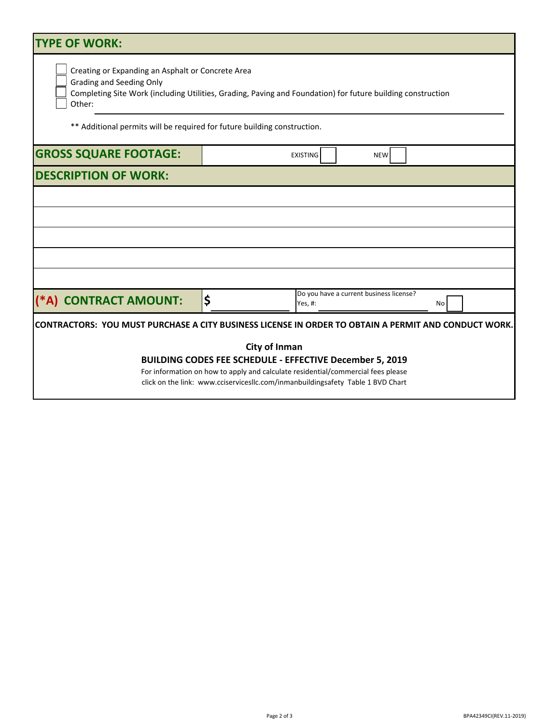| <b>TYPE OF WORK:</b>                                                                                                                                                                                                                                                                      |    |                                                    |    |  |  |  |  |
|-------------------------------------------------------------------------------------------------------------------------------------------------------------------------------------------------------------------------------------------------------------------------------------------|----|----------------------------------------------------|----|--|--|--|--|
| Creating or Expanding an Asphalt or Concrete Area<br><b>Grading and Seeding Only</b><br>Completing Site Work (including Utilities, Grading, Paving and Foundation) for future building construction<br>Other:<br>** Additional permits will be required for future building construction. |    |                                                    |    |  |  |  |  |
| <b>GROSS SQUARE FOOTAGE:</b>                                                                                                                                                                                                                                                              |    | <b>EXISTING</b><br><b>NEW</b>                      |    |  |  |  |  |
| <b>DESCRIPTION OF WORK:</b>                                                                                                                                                                                                                                                               |    |                                                    |    |  |  |  |  |
|                                                                                                                                                                                                                                                                                           |    |                                                    |    |  |  |  |  |
|                                                                                                                                                                                                                                                                                           |    |                                                    |    |  |  |  |  |
| (*A) CONTRACT AMOUNT:                                                                                                                                                                                                                                                                     | \$ | Do you have a current business license?<br>Yes, #: | No |  |  |  |  |
| <b>CONTRACTORS: YOU MUST PURCHASE A CITY BUSINESS LICENSE IN ORDER TO OBTAIN A PERMIT AND CONDUCT WORK.</b>                                                                                                                                                                               |    |                                                    |    |  |  |  |  |
| <b>City of Inman</b><br><b>BUILDING CODES FEE SCHEDULE - EFFECTIVE December 5, 2019</b><br>For information on how to apply and calculate residential/commercial fees please<br>click on the link: www.cciservicesllc.com/inmanbuildingsafety Table 1 BVD Chart                            |    |                                                    |    |  |  |  |  |